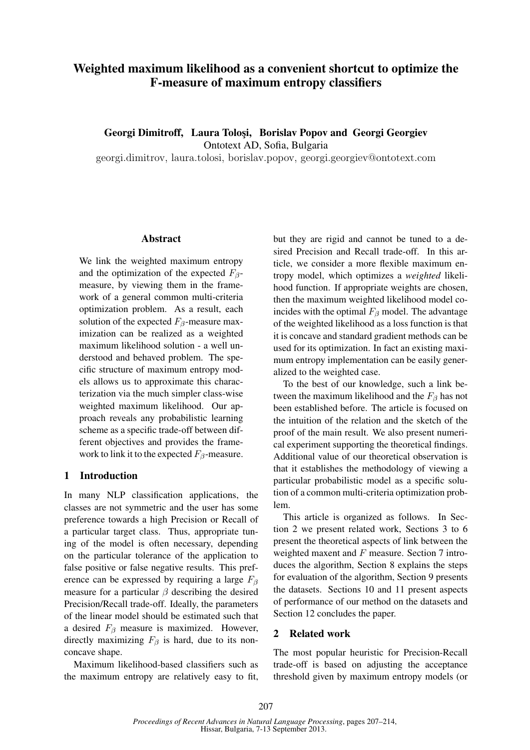# Weighted maximum likelihood as a convenient shortcut to optimize the F-measure of maximum entropy classifiers

Georgi Dimitroff, Laura Tolosi, Borislav Popov and Georgi Georgiev Ontotext AD, Sofia, Bulgaria

georgi.dimitrov, laura.tolosi, borislav.popov, georgi.georgiev@ontotext.com

### Abstract

We link the weighted maximum entropy and the optimization of the expected  $F_{\beta}$ measure, by viewing them in the framework of a general common multi-criteria optimization problem. As a result, each solution of the expected  $F_\beta$ -measure maximization can be realized as a weighted maximum likelihood solution - a well understood and behaved problem. The specific structure of maximum entropy models allows us to approximate this characterization via the much simpler class-wise weighted maximum likelihood. Our approach reveals any probabilistic learning scheme as a specific trade-off between different objectives and provides the framework to link it to the expected  $F_\beta$ -measure.

## 1 Introduction

In many NLP classification applications, the classes are not symmetric and the user has some preference towards a high Precision or Recall of a particular target class. Thus, appropriate tuning of the model is often necessary, depending on the particular tolerance of the application to false positive or false negative results. This preference can be expressed by requiring a large  $F_\beta$ measure for a particular  $\beta$  describing the desired Precision/Recall trade-off. Ideally, the parameters of the linear model should be estimated such that a desired  $F_\beta$  measure is maximized. However, directly maximizing  $F_\beta$  is hard, due to its nonconcave shape.

Maximum likelihood-based classifiers such as the maximum entropy are relatively easy to fit,

but they are rigid and cannot be tuned to a desired Precision and Recall trade-off. In this article, we consider a more flexible maximum entropy model, which optimizes a *weighted* likelihood function. If appropriate weights are chosen, then the maximum weighted likelihood model coincides with the optimal  $F_\beta$  model. The advantage of the weighted likelihood as a loss function is that it is concave and standard gradient methods can be used for its optimization. In fact an existing maximum entropy implementation can be easily generalized to the weighted case.

To the best of our knowledge, such a link between the maximum likelihood and the  $F_\beta$  has not been established before. The article is focused on the intuition of the relation and the sketch of the proof of the main result. We also present numerical experiment supporting the theoretical findings. Additional value of our theoretical observation is that it establishes the methodology of viewing a particular probabilistic model as a specific solution of a common multi-criteria optimization problem.

This article is organized as follows. In Section 2 we present related work, Sections 3 to 6 present the theoretical aspects of link between the weighted maxent and  $F$  measure. Section 7 introduces the algorithm, Section 8 explains the steps for evaluation of the algorithm, Section 9 presents the datasets. Sections 10 and 11 present aspects of performance of our method on the datasets and Section 12 concludes the paper.

## 2 Related work

The most popular heuristic for Precision-Recall trade-off is based on adjusting the acceptance threshold given by maximum entropy models (or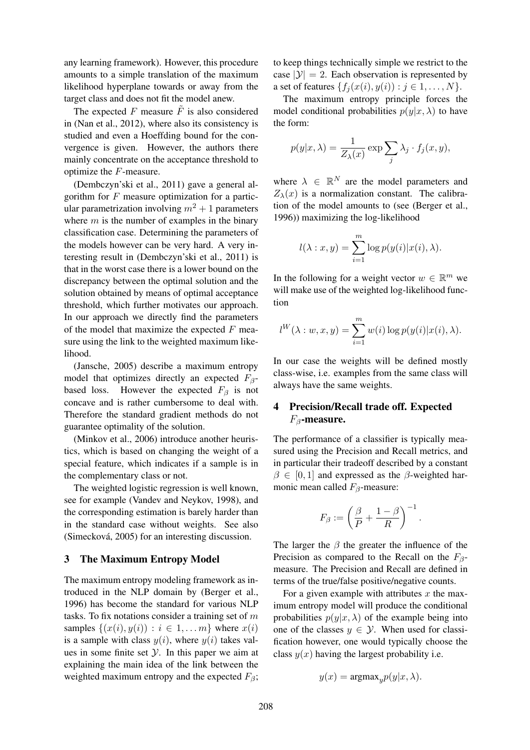any learning framework). However, this procedure amounts to a simple translation of the maximum likelihood hyperplane towards or away from the target class and does not fit the model anew.

The expected F measure  $\tilde{F}$  is also considered in (Nan et al., 2012), where also its consistency is studied and even a Hoeffding bound for the convergence is given. However, the authors there mainly concentrate on the acceptance threshold to optimize the F-measure.

(Dembczyn'ski et al., 2011) gave a general algorithm for  $F$  measure optimization for a particular parametrization involving  $m^2 + 1$  parameters where  $m$  is the number of examples in the binary classification case. Determining the parameters of the models however can be very hard. A very interesting result in (Dembczyn'ski et al., 2011) is that in the worst case there is a lower bound on the discrepancy between the optimal solution and the solution obtained by means of optimal acceptance threshold, which further motivates our approach. In our approach we directly find the parameters of the model that maximize the expected  $F$  measure using the link to the weighted maximum likelihood.

(Jansche, 2005) describe a maximum entropy model that optimizes directly an expected  $F_\beta$ based loss. However the expected  $F_\beta$  is not concave and is rather cumbersome to deal with. Therefore the standard gradient methods do not guarantee optimality of the solution.

(Minkov et al., 2006) introduce another heuristics, which is based on changing the weight of a special feature, which indicates if a sample is in the complementary class or not.

The weighted logistic regression is well known, see for example (Vandev and Neykov, 1998), and the corresponding estimation is barely harder than in the standard case without weights. See also (Simecková, 2005) for an interesting discussion.

## 3 The Maximum Entropy Model

The maximum entropy modeling framework as introduced in the NLP domain by (Berger et al., 1996) has become the standard for various NLP tasks. To fix notations consider a training set of  $m$ samples  $\{(x(i), y(i)) : i \in 1, \ldots m\}$  where  $x(i)$ is a sample with class  $y(i)$ , where  $y(i)$  takes values in some finite set  $Y$ . In this paper we aim at explaining the main idea of the link between the weighted maximum entropy and the expected  $F_\beta$ ; to keep things technically simple we restrict to the case  $|\mathcal{Y}| = 2$ . Each observation is represented by a set of features  $\{f_i(x(i), y(i)) : j \in 1, \ldots, N\}.$ 

The maximum entropy principle forces the model conditional probabilities  $p(y|x, \lambda)$  to have the form:

$$
p(y|x,\lambda) = \frac{1}{Z_{\lambda}(x)} \exp \sum_{j} \lambda_j \cdot f_j(x,y),
$$

where  $\lambda \in \mathbb{R}^N$  are the model parameters and  $Z_{\lambda}(x)$  is a normalization constant. The calibration of the model amounts to (see (Berger et al., 1996)) maximizing the log-likelihood

$$
l(\lambda : x, y) = \sum_{i=1}^{m} \log p(y(i)|x(i), \lambda).
$$

In the following for a weight vector  $w \in \mathbb{R}^m$  we will make use of the weighted log-likelihood function

$$
l^W(\lambda:w,x,y)=\sum_{i=1}^m w(i)\log p(y(i)|x(i),\lambda).
$$

In our case the weights will be defined mostly class-wise, i.e. examples from the same class will always have the same weights.

## 4 Precision/Recall trade off. Expected  $F_{\beta}$ -measure.

The performance of a classifier is typically measured using the Precision and Recall metrics, and in particular their tradeoff described by a constant  $\beta \in [0, 1]$  and expressed as the  $\beta$ -weighted harmonic mean called  $F_\beta$ -measure:

$$
F_{\beta} := \left(\frac{\beta}{P} + \frac{1-\beta}{R}\right)^{-1}.
$$

The larger the  $\beta$  the greater the influence of the Precision as compared to the Recall on the  $F_\beta$ measure. The Precision and Recall are defined in terms of the true/false positive/negative counts.

For a given example with attributes  $x$  the maximum entropy model will produce the conditional probabilities  $p(y|x, \lambda)$  of the example being into one of the classes  $y \in \mathcal{Y}$ . When used for classification however, one would typically choose the class  $y(x)$  having the largest probability i.e.

$$
y(x) = \operatorname{argmax}_{y} p(y|x, \lambda).
$$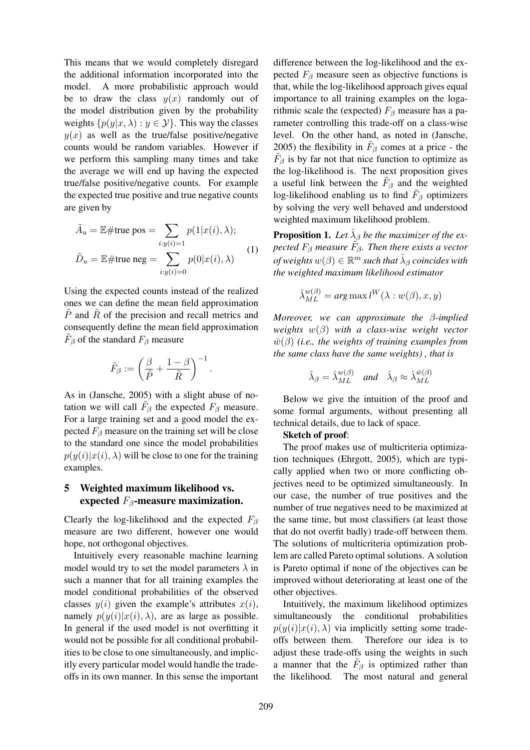This means that we would completely disregard the additional information incorporated into the model. A more probabilistic approach would be to draw the class  $y(x)$  randomly out of the model distribution given by the probability weights  $\{p(y|x, \lambda) : y \in \mathcal{Y}\}\$ . This way the classes  $y(x)$  as well as the true/false positive/negative counts would be random variables. However if we perform this sampling many times and take the average we will end up having the expected true/false positive/negative counts. For example the expected true positive and true negative counts are given by

$$
\tilde{A}_u = \mathbb{E} \# \text{true pos} = \sum_{i:y(i)=1} p(1|x(i),\lambda);
$$
  

$$
\tilde{D}_u = \mathbb{E} \# \text{true neg} = \sum_{i:y(i)=0} p(0|x(i),\lambda)
$$
 (1)

Using the expected counts instead of the realized ones we can define the mean field approximation  $P$  and  $R$  of the precision and recall metrics and consequently define the mean field approximation  $\tilde{F}_{\beta}$  of the standard  $F_{\beta}$  measure

$$
\tilde{F}_{\beta} := \left(\frac{\beta}{\tilde{P}} + \frac{1-\beta}{\tilde{R}}\right)^{-1}.
$$

As in (Jansche, 2005) with a slight abuse of notation we will call  $\tilde{F}_{\beta}$  the expected  $F_{\beta}$  measure. For a large training set and a good model the expected  $F_\beta$  measure on the training set will be close to the standard one since the model probabilities  $p(y(i)|x(i),\lambda)$  will be close to one for the training examples.

## 5 Weighted maximum likelihood vs. expected  $F_{\beta}$ -measure maximization.

Clearly the log-likelihood and the expected  $F_\beta$ measure are two different, however one would hope, not orthogonal objectives.

Intuitively every reasonable machine learning model would try to set the model parameters  $\lambda$  in such a manner that for all training examples the model conditional probabilities of the observed classes  $y(i)$  given the example's attributes  $x(i)$ , namely  $p(y(i)|x(i),\lambda)$ , are as large as possible. In general if the used model is not overfitting it would not be possible for all conditional probabilities to be close to one simultaneously, and implicitly every particular model would handle the tradeoffs in its own manner. In this sense the important

difference between the log-likelihood and the expected  $F_\beta$  measure seen as objective functions is that, while the log-likelihood approach gives equal importance to all training examples on the logarithmic scale the (expected)  $F_\beta$  measure has a parameter controlling this trade-off on a class-wise level. On the other hand, as noted in (Jansche, 2005) the flexibility in  $\tilde{F}_{\beta}$  comes at a price - the  $\tilde{F}_{\beta}$  is by far not that nice function to optimize as the log-likelihood is. The next proposition gives a useful link between the  $\tilde{F}_{\beta}$  and the weighted log-likelihood enabling us to find  $\tilde{F}_{\beta}$  optimizers by solving the very well behaved and understood weighted maximum likelihood problem.

**Proposition 1.** Let  $\hat{\lambda}_{\beta}$  be the maximizer of the expected  $F_\beta$  measure  $\tilde{F}_\beta$ . Then there exists a vector *of weights*  $w(\beta) \in \mathbb{R}^m$  such that  $\hat{\lambda}_{\beta}$  coincides with *the weighted maximum likelihood estimator*

$$
\hat{\lambda}_{ML}^{w(\beta)} = arg \max l^W(\lambda : w(\beta), x, y)
$$

*Moreover, we can approximate the* β*-implied weights* w(β) *with a class-wise weight vector*  $\bar{w}(\beta)$  *(i.e., the weights of training examples from the same class have the same weights) , that is*

$$
\hat{\lambda}_{\beta} = \hat{\lambda}_{ML}^{w(\beta)} \quad \text{and} \quad \hat{\lambda}_{\beta} \approx \hat{\lambda}_{ML}^{\bar{w}(\beta)}
$$

Below we give the intuition of the proof and some formal arguments, without presenting all technical details, due to lack of space.

## Sketch of proof:

The proof makes use of multicriteria optimization techniques (Ehrgott, 2005), which are typically applied when two or more conflicting objectives need to be optimized simultaneously. In our case, the number of true positives and the number of true negatives need to be maximized at the same time, but most classifiers (at least those that do not overfit badly) trade-off between them. The solutions of multicriteria optimization problem are called Pareto optimal solutions. A solution is Pareto optimal if none of the objectives can be improved without deteriorating at least one of the other objectives.

Intuitively, the maximum likelihood optimizes simultaneously the conditional probabilities  $p(y(i)|x(i),\lambda)$  via implicitly setting some tradeoffs between them. Therefore our idea is to adjust these trade-offs using the weights in such a manner that the  $\tilde{F}_{\beta}$  is optimized rather than the likelihood. The most natural and general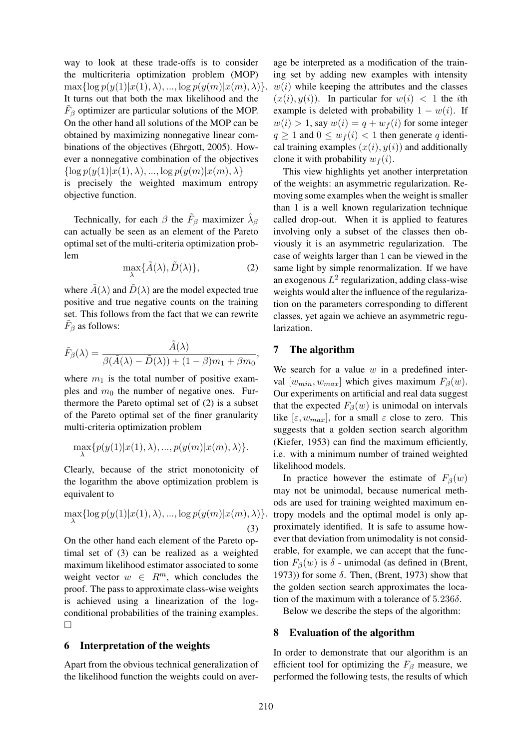way to look at these trade-offs is to consider the multicriteria optimization problem (MOP)  $\max\{\log p(y(1)|x(1),\lambda),...,\log p(y(m)|x(m),\lambda)\}.$ It turns out that both the max likelihood and the  $\tilde{F}_{\beta}$  optimizer are particular solutions of the MOP. On the other hand all solutions of the MOP can be obtained by maximizing nonnegative linear combinations of the objectives (Ehrgott, 2005). However a nonnegative combination of the objectives  $\{\log p(y(1)|x(1), \lambda), ..., \log p(y(m)|x(m), \lambda)\}\$ is precisely the weighted maximum entropy objective function.

Technically, for each  $\beta$  the  $\tilde{F}_{\beta}$  maximizer  $\hat{\lambda}_{\beta}$ can actually be seen as an element of the Pareto optimal set of the multi-criteria optimization problem

$$
\max_{\lambda} \{ \tilde{A}(\lambda), \tilde{D}(\lambda) \},\tag{2}
$$

where  $\tilde{A}(\lambda)$  and  $\tilde{D}(\lambda)$  are the model expected true positive and true negative counts on the training set. This follows from the fact that we can rewrite  $\tilde{F}_{\beta}$  as follows:

$$
\tilde{F}_{\beta}(\lambda) = \frac{\tilde{A}(\lambda)}{\beta(\tilde{A}(\lambda) - \tilde{D}(\lambda)) + (1 - \beta)m_1 + \beta m_0},
$$

where  $m_1$  is the total number of positive examples and  $m_0$  the number of negative ones. Furthermore the Pareto optimal set of (2) is a subset of the Pareto optimal set of the finer granularity multi-criteria optimization problem

$$
\max_{\lambda} \{p(y(1)|x(1),\lambda),...,p(y(m)|x(m),\lambda)\}.
$$

Clearly, because of the strict monotonicity of the logarithm the above optimization problem is equivalent to

$$
\max_{\lambda} \{ \log p(y(1)|x(1), \lambda), ..., \log p(y(m)|x(m), \lambda) \}.
$$
\n(3)

On the other hand each element of the Pareto optimal set of (3) can be realized as a weighted maximum likelihood estimator associated to some weight vector  $w \in R^m$ , which concludes the proof. The pass to approximate class-wise weights is achieved using a linearization of the logconditional probabilities of the training examples.  $\Box$ 

## 6 Interpretation of the weights

Apart from the obvious technical generalization of the likelihood function the weights could on aver-

age be interpreted as a modification of the training set by adding new examples with intensity  $w(i)$  while keeping the attributes and the classes  $(x(i), y(i))$ . In particular for  $w(i) < 1$  the *i*th example is deleted with probability  $1 - w(i)$ . If  $w(i) > 1$ , say  $w(i) = q + w_f(i)$  for some integer  $q \ge 1$  and  $0 \le w_f(i) < 1$  then generate q identical training examples  $(x(i), y(i))$  and additionally clone it with probability  $w_f(i)$ .

This view highlights yet another interpretation of the weights: an asymmetric regularization. Removing some examples when the weight is smaller than 1 is a well known regularization technique called drop-out. When it is applied to features involving only a subset of the classes then obviously it is an asymmetric regularization. The case of weights larger than 1 can be viewed in the same light by simple renormalization. If we have an exogenous  $L^2$  regularization, adding class-wise weights would alter the influence of the regularization on the parameters corresponding to different classes, yet again we achieve an asymmetric regularization.

## 7 The algorithm

We search for a value  $w$  in a predefined interval  $[w_{min}, w_{max}]$  which gives maximum  $F_{\beta}(w)$ . Our experiments on artificial and real data suggest that the expected  $F_\beta(w)$  is unimodal on intervals like  $[\varepsilon, w_{max}]$ , for a small  $\varepsilon$  close to zero. This suggests that a golden section search algorithm (Kiefer, 1953) can find the maximum efficiently, i.e. with a minimum number of trained weighted likelihood models.

In practice however the estimate of  $F_\beta(w)$ may not be unimodal, because numerical methods are used for training weighted maximum entropy models and the optimal model is only approximately identified. It is safe to assume however that deviation from unimodality is not considerable, for example, we can accept that the function  $F_\beta(w)$  is  $\delta$  - unimodal (as defined in (Brent, 1973)) for some  $\delta$ . Then, (Brent, 1973) show that the golden section search approximates the location of the maximum with a tolerance of  $5.236\delta$ .

Below we describe the steps of the algorithm:

#### 8 Evaluation of the algorithm

In order to demonstrate that our algorithm is an efficient tool for optimizing the  $F_\beta$  measure, we performed the following tests, the results of which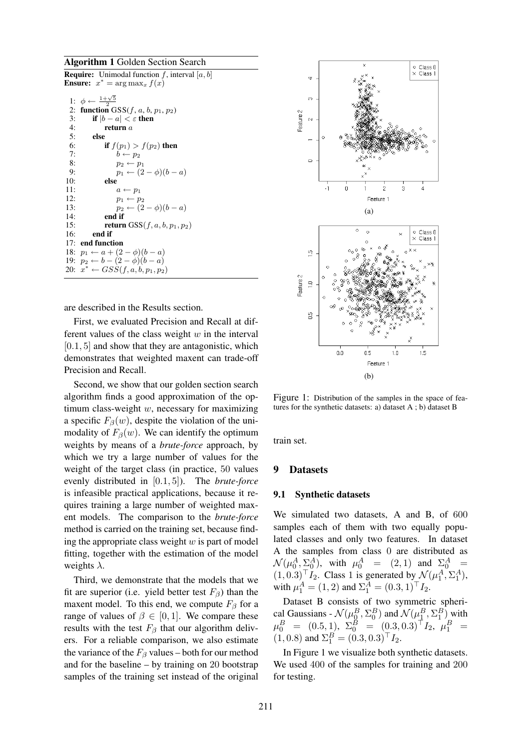#### Algorithm 1 Golden Section Search

**Require:** Unimodal function f, interval  $[a, b]$ **Ensure:**  $x^* = \arg \max_x f(x)$ 

|     | 1: $\phi \leftarrow \frac{1+\sqrt{5}}{2}$   |
|-----|---------------------------------------------|
| 2:  | function $GSS(f, a, b, p_1, p_2)$           |
| 3:  | if $ b - a  < \varepsilon$ then             |
| 4:  | return $a$                                  |
| 5:  | else                                        |
| 6:  | if $f(p_1) > f(p_2)$ then                   |
| 7:  | $b \leftarrow p_2$                          |
| 8:  | $p_2 \leftarrow p_1$                        |
| 9:  | $p_1 \leftarrow (2-\phi)(b-a)$              |
| 10: | else                                        |
| 11: | $a \leftarrow p_1$                          |
| 12: | $p_1 \leftarrow p_2$                        |
| 13: | $p_2 \leftarrow (2-\phi)(b-a)$              |
| 14: | end if                                      |
| 15: | <b>return</b> GSS( $f, a, b, p_1, p_2$ )    |
| 16: | end if                                      |
|     | 17: end function                            |
|     | 18: $p_1 \leftarrow a + (2 - \phi)(b - a)$  |
|     | 19: $p_2 \leftarrow b - (2 - \phi)(b - a)$  |
|     | 20: $x^* \leftarrow GSS(f, a, b, p_1, p_2)$ |

are described in the Results section.

First, we evaluated Precision and Recall at different values of the class weight  $w$  in the interval  $[0.1, 5]$  and show that they are antagonistic, which demonstrates that weighted maxent can trade-off Precision and Recall.

Second, we show that our golden section search algorithm finds a good approximation of the optimum class-weight w, necessary for maximizing a specific  $F_\beta(w)$ , despite the violation of the unimodality of  $F_\beta(w)$ . We can identify the optimum weights by means of a *brute-force* approach, by which we try a large number of values for the weight of the target class (in practice, 50 values evenly distributed in [0.1, 5]). The *brute-force* is infeasible practical applications, because it requires training a large number of weighted maxent models. The comparison to the *brute-force* method is carried on the training set, because finding the appropriate class weight  $w$  is part of model fitting, together with the estimation of the model weights  $\lambda$ .

Third, we demonstrate that the models that we fit are superior (i.e. yield better test  $F_\beta$ ) than the maxent model. To this end, we compute  $F_\beta$  for a range of values of  $\beta \in [0, 1]$ . We compare these results with the test  $F_\beta$  that our algorithm delivers. For a reliable comparison, we also estimate the variance of the  $F_\beta$  values – both for our method and for the baseline – by training on 20 bootstrap samples of the training set instead of the original



Figure 1: Distribution of the samples in the space of features for the synthetic datasets: a) dataset A ; b) dataset B

train set.

#### 9 Datasets

#### 9.1 Synthetic datasets

We simulated two datasets, A and B, of 600 samples each of them with two equally populated classes and only two features. In dataset A the samples from class 0 are distributed as  $\mathcal{N}(\mu_0^A, \Sigma_0^A)$ , with  $\mu_0^A$  = (2, 1) and  $\Sigma_0^A$  =  $(1, 0.3)^{\top} I_2$ . Class 1 is generated by  $\mathcal{N}(\mu_1^A, \Sigma_1^A)$ , with  $\mu_1^A = (1, 2)$  and  $\Sigma_1^A = (0.3, 1)^\top I_2$ .

Dataset B consists of two symmetric spherical Gaussians -  $\mathcal{N}(\mu_{\Omega}^B, \Sigma_0^B)$  and  $\mathcal{N}(\mu_{\underline{1}}^B, \Sigma_1^B)$  with  $\mu_0^B$  = (0.5, 1),  $\Sigma_0^B$  = (0.3, 0.3)<sup>T</sup>I<sub>2</sub>,  $\mu_1^B$  =  $(1, 0.8)$  and  $\Sigma_1^B = (0.3, 0.3)^{\top} I_2$ .

In Figure 1 we visualize both synthetic datasets. We used 400 of the samples for training and 200 for testing.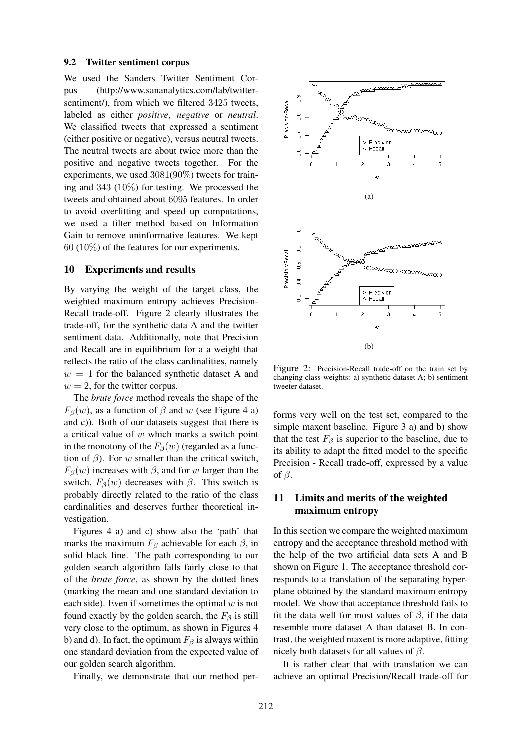#### 9.2 Twitter sentiment corpus

We used the Sanders Twitter Sentiment Corpus (http://www.sananalytics.com/lab/twittersentiment/), from which we filtered 3425 tweets, labeled as either *positive*, *negative* or *neutral*. We classified tweets that expressed a sentiment (either positive or negative), versus neutral tweets. The neutral tweets are about twice more than the positive and negative tweets together. For the experiments, we used 3081(90%) tweets for training and 343 (10%) for testing. We processed the tweets and obtained about 6095 features. In order to avoid overfitting and speed up computations, we used a filter method based on Information Gain to remove uninformative features. We kept 60 (10%) of the features for our experiments.

#### 10 Experiments and results

By varying the weight of the target class, the weighted maximum entropy achieves Precision-Recall trade-off. Figure 2 clearly illustrates the trade-off, for the synthetic data A and the twitter sentiment data. Additionally, note that Precision and Recall are in equilibrium for a a weight that reflects the ratio of the class cardinalities, namely  $w = 1$  for the balanced synthetic dataset A and  $w = 2$ , for the twitter corpus.

The *brute force* method reveals the shape of the  $F_\beta(w)$ , as a function of  $\beta$  and w (see Figure 4 a) and c)). Both of our datasets suggest that there is a critical value of w which marks a switch point in the monotony of the  $F_\beta(w)$  (regarded as a function of  $\beta$ ). For w smaller than the critical switch,  $F_\beta(w)$  increases with  $\beta$ , and for w larger than the switch,  $F_\beta(w)$  decreases with  $\beta$ . This switch is probably directly related to the ratio of the class cardinalities and deserves further theoretical investigation.

Figures 4 a) and c) show also the 'path' that marks the maximum  $F_\beta$  achievable for each  $\beta$ , in solid black line. The path corresponding to our golden search algorithm falls fairly close to that of the *brute force*, as shown by the dotted lines (marking the mean and one standard deviation to each side). Even if sometimes the optimal  $w$  is not found exactly by the golden search, the  $F_\beta$  is still very close to the optimum, as shown in Figures 4 b) and d). In fact, the optimum  $F_\beta$  is always within one standard deviation from the expected value of our golden search algorithm.

Finally, we demonstrate that our method per-



Figure 2: Precision-Recall trade-off on the train set by changing class-weights: a) synthetic dataset A; b) sentiment tweeter dataset.

forms very well on the test set, compared to the simple maxent baseline. Figure 3 a) and b) show that the test  $F_\beta$  is superior to the baseline, due to its ability to adapt the fitted model to the specific Precision - Recall trade-off, expressed by a value of  $\beta$ .

## 11 Limits and merits of the weighted maximum entropy

In this section we compare the weighted maximum entropy and the acceptance threshold method with the help of the two artificial data sets A and B shown on Figure 1. The acceptance threshold corresponds to a translation of the separating hyperplane obtained by the standard maximum entropy model. We show that acceptance threshold fails to fit the data well for most values of  $\beta$ , if the data resemble more dataset A than dataset B. In contrast, the weighted maxent is more adaptive, fitting nicely both datasets for all values of  $\beta$ .

It is rather clear that with translation we can achieve an optimal Precision/Recall trade-off for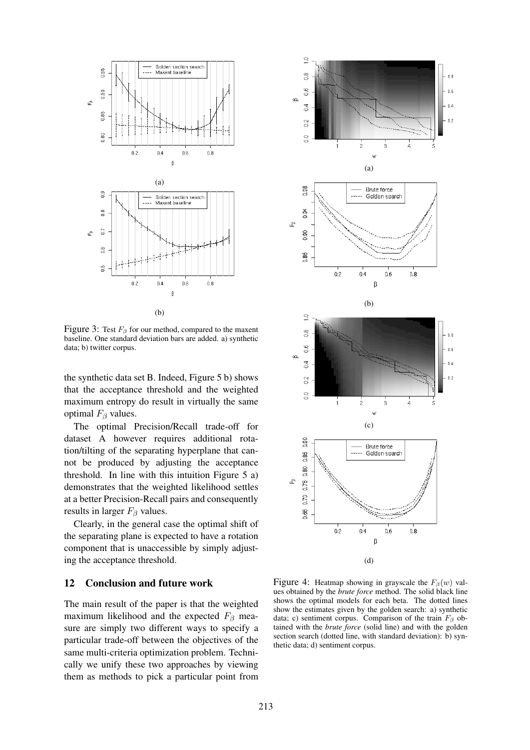

Figure 3: Test  $F_\beta$  for our method, compared to the maxent baseline. One standard deviation bars are added. a) synthetic data; b) twitter corpus.

the synthetic data set B. Indeed, Figure 5 b) shows that the acceptance threshold and the weighted maximum entropy do result in virtually the same optimal  $F_\beta$  values.

The optimal Precision/Recall trade-off for dataset A however requires additional rotation/tilting of the separating hyperplane that cannot be produced by adjusting the acceptance threshold. In line with this intuition Figure 5 a) demonstrates that the weighted likelihood settles at a better Precision-Recall pairs and consequently results in larger  $F_\beta$  values.

Clearly, in the general case the optimal shift of the separating plane is expected to have a rotation component that is unaccessible by simply adjusting the acceptance threshold.

## 12 Conclusion and future work

The main result of the paper is that the weighted maximum likelihood and the expected  $F_\beta$  measure are simply two different ways to specify a particular trade-off between the objectives of the same multi-criteria optimization problem. Technically we unify these two approaches by viewing them as methods to pick a particular point from



Figure 4: Heatmap showing in grayscale the  $F_\beta(w)$  values obtained by the *brute force* method. The solid black line shows the optimal models for each beta. The dotted lines show the estimates given by the golden search: a) synthetic data; c) sentiment corpus. Comparison of the train  $F_\beta$  obtained with the *brute force* (solid line) and with the golden section search (dotted line, with standard deviation): b) synthetic data; d) sentiment corpus.